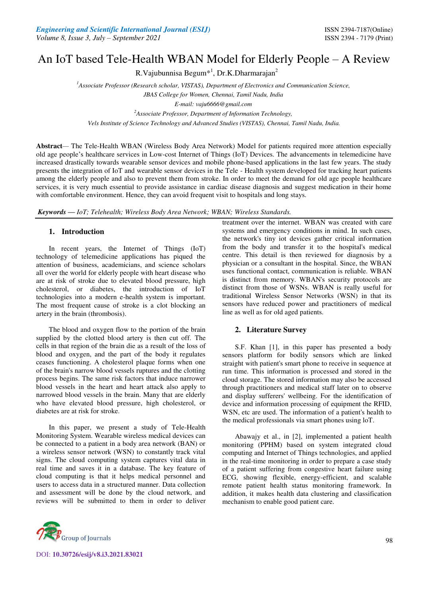# An IoT based Tele-Health WBAN Model for Elderly People – A Review

R.Vajubunnisa Begum<sup>\*1</sup>, Dr.K.Dharmarajan<sup>2</sup>

*<sup>1</sup>Associate Professor (Research scholar, VISTAS), Department of Electronics and Communication Science,* 

*JBAS College for Women, Chennai, Tamil Nadu, India* 

*E-mail: vaju6666@gmail.com* 

*<sup>2</sup>Associate Professor, Department of Information Technology,* 

 *Vels Institute of Science Technology and Advanced Studies (VISTAS), Chennai, Tamil Nadu, India.* 

**Abstract***—* The Tele-Health WBAN (Wireless Body Area Network) Model for patients required more attention especially old age people's healthcare services in Low-cost Internet of Things (IoT) Devices. The advancements in telemedicine have increased drastically towards wearable sensor devices and mobile phone-based applications in the last few years. The study presents the integration of IoT and wearable sensor devices in the Tele - Health system developed for tracking heart patients among the elderly people and also to prevent them from stroke. In order to meet the demand for old age people healthcare services, it is very much essential to provide assistance in cardiac disease diagnosis and suggest medication in their home with comfortable environment. Hence, they can avoid frequent visit to hospitals and long stays.

*Keywords* **—** *IoT; Telehealth; Wireless Body Area Network; WBAN; Wireless Standards.* 

## **1. Introduction**

 In recent years, the Internet of Things (IoT) technology of telemedicine applications has piqued the attention of business, academicians, and science scholars all over the world for elderly people with heart disease who are at risk of stroke due to elevated blood pressure, high cholesterol, or diabetes, the introduction of IoT technologies into a modern e-health system is important. The most frequent cause of stroke is a clot blocking an artery in the brain (thrombosis).

 The blood and oxygen flow to the portion of the brain supplied by the clotted blood artery is then cut off. The cells in that region of the brain die as a result of the loss of blood and oxygen, and the part of the body it regulates ceases functioning. A cholesterol plaque forms when one of the brain's narrow blood vessels ruptures and the clotting process begins. The same risk factors that induce narrower blood vessels in the heart and heart attack also apply to narrowed blood vessels in the brain. Many that are elderly who have elevated blood pressure, high cholesterol, or diabetes are at risk for stroke.

 In this paper, we present a study of Tele-Health Monitoring System. Wearable wireless medical devices can be connected to a patient in a body area network (BAN) or a wireless sensor network (WSN) to constantly track vital signs. The cloud computing system captures vital data in real time and saves it in a database. The key feature of cloud computing is that it helps medical personnel and users to access data in a structured manner. Data collection and assessment will be done by the cloud network, and reviews will be submitted to them in order to deliver



DOI: **10.30726/esij/v8.i3.2021.83021**

treatment over the internet. WBAN was created with care systems and emergency conditions in mind. In such cases, the network's tiny iot devices gather critical information from the body and transfer it to the hospital's medical centre. This detail is then reviewed for diagnosis by a physician or a consultant in the hospital. Since, the WBAN uses functional contact, communication is reliable. WBAN is distinct from memory. WBAN's security protocols are distinct from those of WSNs. WBAN is really useful for traditional Wireless Sensor Networks (WSN) in that its sensors have reduced power and practitioners of medical line as well as for old aged patients.

## **2. Literature Survey**

S.F. Khan [1], in this paper has presented a body sensors platform for bodily sensors which are linked straight with patient's smart phone to receive in sequence at run time. This information is processed and stored in the cloud storage. The stored information may also be accessed through practitioners and medical staff later on to observe and display sufferers' wellbeing. For the identification of device and information processing of equipment the RFID, WSN, etc are used. The information of a patient's health to the medical professionals via smart phones using loT.

Abawajy et al., in [2], implemented a patient health monitoring (PPHM) based on system integrated cloud computing and Internet of Things technologies, and applied in the real-time monitoring in order to prepare a case study of a patient suffering from congestive heart failure using ECG, showing flexible, energy-efficient, and scalable remote patient health status monitoring framework. In addition, it makes health data clustering and classification mechanism to enable good patient care.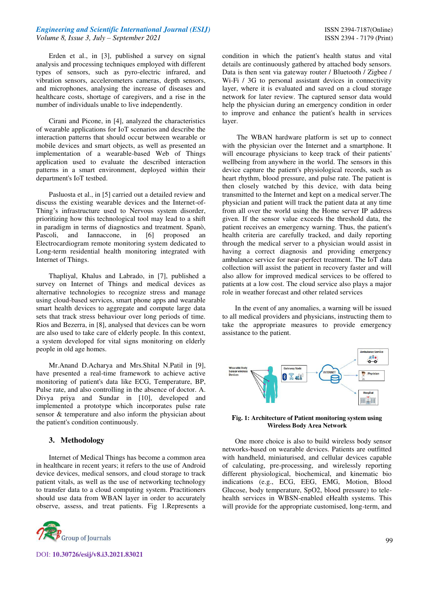## *Engineering and Scientific International Journal (ESIJ)* **ISSN 2394-7187(Online) ISSN 2394-7187(Online)** *Volume 8, Issue 3, July – September 2021* ISSN 2394 - 7179 (Print)

Erden et al., in [3], published a survey on signal analysis and processing techniques employed with different types of sensors, such as pyro-electric infrared, and vibration sensors, accelerometers cameras, depth sensors, and microphones, analysing the increase of diseases and healthcare costs, shortage of caregivers, and a rise in the number of individuals unable to live independently.

Cirani and Picone, in [4], analyzed the characteristics of wearable applications for IoT scenarios and describe the interaction patterns that should occur between wearable or mobile devices and smart objects, as well as presented an implementation of a wearable-based Web of Things application used to evaluate the described interaction patterns in a smart environment, deployed within their department's IoT testbed.

Pasluosta et al., in [5] carried out a detailed review and discuss the existing wearable devices and the Internet-of-Thing's infrastructure used to Nervous system disorder, prioritizing how this technological tool may lead to a shift in paradigm in terms of diagnostics and treatment. Spanò, Pascoli, and Iannaccone, in [6] proposed an Electrocardiogram remote monitoring system dedicated to Long-term residential health monitoring integrated with Internet of Things.

Thapliyal, Khalus and Labrado, in [7], published a survey on Internet of Things and medical devices as alternative technologies to recognize stress and manage using cloud-based services, smart phone apps and wearable smart health devices to aggregate and compute large data sets that track stress behaviour over long periods of time. Rios and Bezerra, in [8], analysed that devices can be worn are also used to take care of elderly people. In this context, a system developed for vital signs monitoring on elderly people in old age homes.

Mr.Anand D.Acharya and Mrs.Shital N.Patil in [9], have presented a real-time framework to achieve active monitoring of patient's data like ECG, Temperature, BP, Pulse rate, and also controlling in the absence of doctor. A. Divya priya and Sundar in [10], developed and implemented a prototype which incorporates pulse rate sensor & temperature and also inform the physician about the patient's condition continuously.

#### **3. Methodology**

Internet of Medical Things has become a common area in healthcare in recent years; it refers to the use of Android device devices, medical sensors, and cloud storage to track patient vitals, as well as the use of networking technology to transfer data to a cloud computing system. Practitioners should use data from WBAN layer in order to accurately observe, assess, and treat patients. Fig 1.Represents a



condition in which the patient's health status and vital details are continuously gathered by attached body sensors. Data is then sent via gateway router / Bluetooth / Zigbee / Wi-Fi / 3G to personal assistant devices in connectivity layer, where it is evaluated and saved on a cloud storage network for later review. The captured sensor data would help the physician during an emergency condition in order to improve and enhance the patient's health in services layer.

 The WBAN hardware platform is set up to connect with the physician over the Internet and a smartphone. It will encourage physicians to keep track of their patients' wellbeing from anywhere in the world. The sensors in this device capture the patient's physiological records, such as heart rhythm, blood pressure, and pulse rate. The patient is then closely watched by this device, with data being transmitted to the Internet and kept on a medical server.The physician and patient will track the patient data at any time from all over the world using the Home server IP address given. If the sensor value exceeds the threshold data, the patient receives an emergency warning. Thus, the patient's health criteria are carefully tracked, and daily reporting through the medical server to a physician would assist in having a correct diagnosis and providing emergency ambulance service for near-perfect treatment. The IoT data collection will assist the patient in recovery faster and will also allow for improved medical services to be offered to patients at a low cost. The cloud service also plays a major role in weather forecast and other related services

In the event of any anomalies, a warning will be issued to all medical providers and physicians, instructing them to take the appropriate measures to provide emergency assistance to the patient.



**Fig. 1: Architecture of Patient monitoring system using Wireless Body Area Network** 

One more choice is also to build wireless body sensor networks-based on wearable devices. Patients are outfitted with handheld, miniaturised, and cellular devices capable of calculating, pre-processing, and wirelessly reporting different physiological, biochemical, and kinematic bio indications (e.g., ECG, EEG, EMG, Motion, Blood Glucose, body temperature, SpO2, blood pressure) to telehealth services in WBSN-enabled eHealth systems. This will provide for the appropriate customised, long-term, and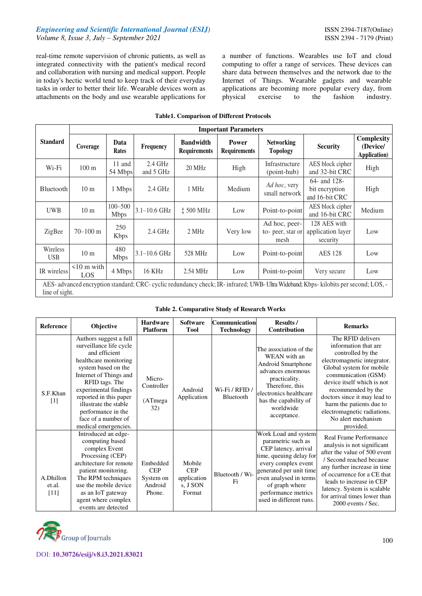## *Engineering and Scientific International Journal (ESIJ)* **ISSN 2394-7187(Online)** *Volume 8, Issue 3, July – September 2021* ISSN 2394 - 7179 (Print)

real-time remote supervision of chronic patients, as well as integrated connectivity with the patient's medical record and collaboration with nursing and medical support. People in today's hectic world tend to keep track of their everyday tasks in order to better their life. Wearable devices worn as attachments on the body and use wearable applications for

a number of functions. Wearables use IoT and cloud computing to offer a range of services. These devices can share data between themselves and the network due to the Internet of Things. Wearable gadgets and wearable applications are becoming more popular every day, from physical exercise to the fashion industry.

| <b>Table1. Comparison of Different Protocols</b>                                                                                                        |                                |                            |                        |                                         |                                     |                                           |                                                  |                                                |  |
|---------------------------------------------------------------------------------------------------------------------------------------------------------|--------------------------------|----------------------------|------------------------|-----------------------------------------|-------------------------------------|-------------------------------------------|--------------------------------------------------|------------------------------------------------|--|
|                                                                                                                                                         | <b>Important Parameters</b>    |                            |                        |                                         |                                     |                                           |                                                  |                                                |  |
| <b>Standard</b>                                                                                                                                         | Coverage                       | Data<br>Rates              | <b>Frequency</b>       | <b>Bandwidth</b><br><b>Requirements</b> | <b>Power</b><br><b>Requirements</b> | <b>Networking</b><br><b>Topology</b>      | <b>Security</b>                                  | Complexity<br>(Device/<br><b>Application</b> ) |  |
| Wi-Fi                                                                                                                                                   | $100 \text{ m}$                | 11 and<br>54 Mbps          | $2.4$ GHz<br>and 5 GHz | 20 MHz                                  | High                                | Infrastructure<br>(point-hub)             | AES block cipher<br>and 32-bit CRC               | High                                           |  |
| Bluetooth                                                                                                                                               | 10 <sub>m</sub>                | 1 Mbps                     | $2.4$ GHz              | 1 MHz                                   | Medium                              | Ad hoc, very<br>small network             | 64- and 128-<br>bit encryption<br>and 16-bit CRC | High                                           |  |
| <b>UWB</b>                                                                                                                                              | 10 <sub>m</sub>                | $100 - 500$<br><b>Mbps</b> | $3.1 - 10.6$ GHz       | $\ddagger$ 500 MHz                      | Low                                 | Point-to-point                            | AES block cipher<br>and 16-bit CRC               | Medium                                         |  |
| ZigBee                                                                                                                                                  | $70 - 100$ m                   | 250<br><b>Kbps</b>         | $2.4$ GHz              | 2 MHz                                   | Very low                            | Ad hoc, peer-<br>to-peer, star or<br>mesh | 128 AES with<br>application layer<br>security    | Low                                            |  |
| Wireless<br><b>USB</b>                                                                                                                                  | 10 <sub>m</sub>                | 480<br><b>Mbps</b>         | $3.1 - 10.6$ GHz       | 528 MHz                                 | Low                                 | Point-to-point                            | <b>AES 128</b>                                   | Low                                            |  |
| IR wireless                                                                                                                                             | $\leq 10$ m with<br><b>LOS</b> | 4 Mbps                     | 16 KHz                 | 2.54 MHz                                | Low                                 | Point-to-point                            | Very secure                                      | Low                                            |  |
| AES- advanced encryption standard; CRC- cyclic redundancy check; IR- infrared; UWB- Ultra Wideband; Kbps- kilobits per second; LOS, -<br>line of sight. |                                |                            |                        |                                         |                                     |                                           |                                                  |                                                |  |

## **Table1. Comparison of Different Protocols**

| <b>Table 2. Comparative Study of Research Works</b> |  |  |
|-----------------------------------------------------|--|--|
|                                                     |  |  |

| <b>Reference</b>              | Objective                                                                                                                                                                                                                                                                                                       | <b>Hardware</b><br><b>Platform</b>                       | <b>Software</b><br><b>Tool</b>                            | Communication<br><b>Technology</b> | Results /<br>Contribution                                                                                                                                                                                                                     | <b>Remarks</b>                                                                                                                                                                                                                                                                                                                     |
|-------------------------------|-----------------------------------------------------------------------------------------------------------------------------------------------------------------------------------------------------------------------------------------------------------------------------------------------------------------|----------------------------------------------------------|-----------------------------------------------------------|------------------------------------|-----------------------------------------------------------------------------------------------------------------------------------------------------------------------------------------------------------------------------------------------|------------------------------------------------------------------------------------------------------------------------------------------------------------------------------------------------------------------------------------------------------------------------------------------------------------------------------------|
| S.F.Khan<br>$\lceil 1 \rceil$ | Authors suggest a full<br>surveillance life cycle<br>and efficient<br>healthcare monitoring<br>system based on the<br>Internet of Things and<br>RFID tags. The<br>experimental findings<br>reported in this paper<br>illustrate the stable<br>performance in the<br>face of a number of<br>medical emergencies. | Micro-<br>Controller<br>(ATmega<br>32)                   | Android<br>Application                                    | Wi-Fi / RFID /<br>Bluetooth        | The association of the<br>WEAN with an<br>Android Smartphone<br>advances enormous<br>practicality.<br>Therefore, this<br>electronics healthcare<br>has the capability of<br>worldwide<br>acceptance.                                          | The RFID delivers<br>information that are<br>controlled by the<br>electromagnetic integrator.<br>Global system for mobile<br>communication (GSM)<br>device itself which is not<br>recommended by the<br>doctors since it may lead to<br>harm the patients due to<br>electromagnetic radiations.<br>No alert mechanism<br>provided. |
| A.Dhillon<br>et.al.<br>[11]   | Introduced an edge-<br>computing based<br>complex Event<br>Processing (CEP)<br>architecture for remote<br>patient monitoring.<br>The RPM techniques<br>use the mobile device<br>as an IoT gateway<br>agent where complex<br>events are detected                                                                 | Embedded<br><b>CEP</b><br>System on<br>Android<br>Phone. | Mobile<br><b>CEP</b><br>application<br>s, J SON<br>Format | Bluetooth / Wi-<br>Fi              | Work Load and system<br>parametric such as<br>CEP latency, arrival<br>time, queuing delay for<br>every complex event<br>generated per unit time<br>even analysed in terms<br>of graph where<br>performance metrics<br>used in different runs. | Real Frame Performance<br>analysis is not significant<br>after the value of 500 event<br>/ Second reached because<br>any further increase in time<br>of occurrence for a CE that<br>leads to increase in CEP<br>latency. System is scalable<br>for arrival times lower than<br>2000 events / Sec.                                  |

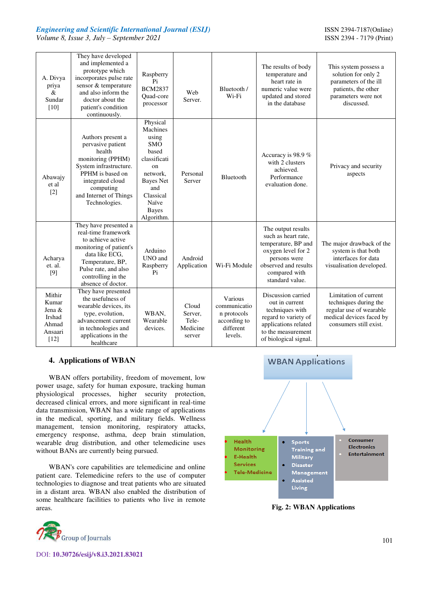*Engineering and Scientific International Journal (ESIJ)* **ISSN 2394-7187(Online)** *Volume 8, Issue 3, July – September 2021* ISSN 2394 - 7179 (Print)

| A. Divya<br>priya<br>&<br>Sundar<br>$[10]$                        | They have developed<br>and implemented a<br>prototype which<br>incorporates pulse rate<br>sensor & temperature<br>and also inform the<br>doctor about the<br>patient's condition<br>continuously.      | Raspberry<br>Pi<br><b>BCM2837</b><br>Quad-core<br>processor                                                                                                                    | Web<br>Server.                                  | Bluetooth /<br>Wi-Fi                                                           | The results of body<br>temperature and<br>heart rate in<br>numeric value were<br>updated and stored<br>in the database                                             | This system possess a<br>solution for only 2<br>parameters of the ill<br>patients, the other<br>parameters were not<br>discussed. |
|-------------------------------------------------------------------|--------------------------------------------------------------------------------------------------------------------------------------------------------------------------------------------------------|--------------------------------------------------------------------------------------------------------------------------------------------------------------------------------|-------------------------------------------------|--------------------------------------------------------------------------------|--------------------------------------------------------------------------------------------------------------------------------------------------------------------|-----------------------------------------------------------------------------------------------------------------------------------|
| Abawajy<br>et al<br>$[2]$                                         | Authors present a<br>pervasive patient<br>health<br>monitoring (PPHM)<br>System infrastructure.<br>PPHM is based on<br>integrated cloud<br>computing<br>and Internet of Things<br>Technologies.        | Physical<br>Machines<br>using<br><b>SMO</b><br>based<br>classificati<br>$_{\rm on}$<br>network.<br><b>Bayes Net</b><br>and<br>Classical<br>Naïve<br><b>Bayes</b><br>Algorithm. | Personal<br>Server                              | Bluetooth                                                                      | Accuracy is 98.9 %<br>with 2 clusters<br>achieved.<br>Performance<br>evaluation done.                                                                              | Privacy and security<br>aspects                                                                                                   |
| Acharya<br>et. al.<br>[9]                                         | They have presented a<br>real-time framework<br>to achieve active<br>monitoring of patient's<br>data like ECG.<br>Temperature, BP,<br>Pulse rate, and also<br>controlling in the<br>absence of doctor. | Arduino<br>UNO and<br>Raspberry<br>P <sub>i</sub>                                                                                                                              | Android<br>Application                          | Wi-Fi Module                                                                   | The output results<br>such as heart rate,<br>temperature, BP and<br>oxygen level for 2<br>persons were<br>observed and results<br>compared with<br>standard value. | The major drawback of the<br>system is that both<br>interfaces for data<br>visualisation developed.                               |
| Mithir<br>Kumar<br>Jena &<br>Irshad<br>Ahmad<br>Ansaari<br>$[12]$ | They have presented<br>the usefulness of<br>wearable devices, its<br>type, evolution,<br>advancement current<br>in technologies and<br>applications in the<br>healthcare                               | WBAN.<br>Wearable<br>devices.                                                                                                                                                  | Cloud<br>Server,<br>Tele-<br>Medicine<br>server | Various<br>communicatio<br>n protocols<br>according to<br>different<br>levels. | Discussion carried<br>out in current<br>techniques with<br>regard to variety of<br>applications related<br>to the measurement<br>of biological signal.             | Limitation of current<br>techniques during the<br>regular use of wearable<br>medical devices faced by<br>consumers still exist.   |

## **4. Applications of WBAN**

WBAN offers portability, freedom of movement, low power usage, safety for human exposure, tracking human physiological processes, higher security protection, decreased clinical errors, and more significant in real-time data transmission, WBAN has a wide range of applications in the medical, sporting, and military fields. Wellness management, tension monitoring, respiratory attacks, emergency response, asthma, deep brain stimulation, wearable drug distribution, and other telemedicine uses without BANs are currently being pursued.

WBAN's core capabilities are telemedicine and online patient care. Telemedicine refers to the use of computer technologies to diagnose and treat patients who are situated in a distant area. WBAN also enabled the distribution of some healthcare facilities to patients who live in remote areas. **Fig. 2: WBAN Applications** 





DOI: **10.30726/esij/v8.i3.2021.83021**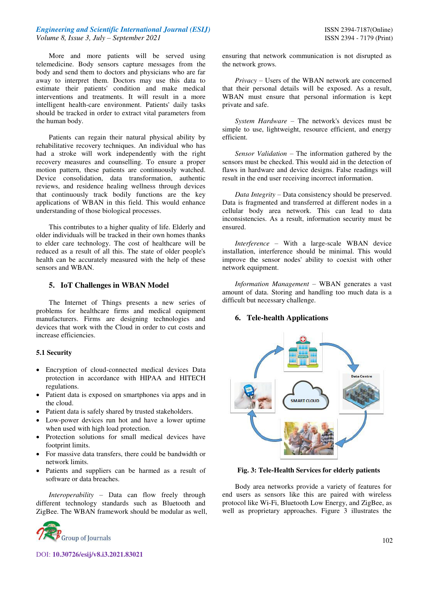## *Engineering and Scientific International Journal (ESIJ)* **ISSN 2394-7187(Online) ISSN 2394-7187(Online)** *Volume 8, Issue 3, July – September 2021* ISSN 2394 - 7179 (Print)

More and more patients will be served using telemedicine. Body sensors capture messages from the body and send them to doctors and physicians who are far away to interpret them. Doctors may use this data to estimate their patients' condition and make medical interventions and treatments. It will result in a more intelligent health-care environment. Patients' daily tasks should be tracked in order to extract vital parameters from the human body.

Patients can regain their natural physical ability by rehabilitative recovery techniques. An individual who has had a stroke will work independently with the right recovery measures and counselling. To ensure a proper motion pattern, these patients are continuously watched. Device consolidation, data transformation, authentic reviews, and residence healing wellness through devices that continuously track bodily functions are the key applications of WBAN in this field. This would enhance understanding of those biological processes.

This contributes to a higher quality of life. Elderly and older individuals will be tracked in their own homes thanks to elder care technology. The cost of healthcare will be reduced as a result of all this. The state of older people's health can be accurately measured with the help of these sensors and WBAN.

#### **5. IoT Challenges in WBAN Model**

The Internet of Things presents a new series of problems for healthcare firms and medical equipment manufacturers. Firms are designing technologies and devices that work with the Cloud in order to cut costs and increase efficiencies.

#### **5.1 Security**

- Encryption of cloud-connected medical devices Data protection in accordance with HIPAA and HITECH regulations.
- Patient data is exposed on smartphones via apps and in the cloud.
- Patient data is safely shared by trusted stakeholders.
- Low-power devices run hot and have a lower uptime when used with high load protection.
- Protection solutions for small medical devices have footprint limits.
- For massive data transfers, there could be bandwidth or network limits.
- Patients and suppliers can be harmed as a result of software or data breaches.

*Interoperability –* Data can flow freely through different technology standards such as Bluetooth and ZigBee. The WBAN framework should be modular as well,



DOI: **10.30726/esij/v8.i3.2021.83021**

ensuring that network communication is not disrupted as the network grows.

*Privacy* – Users of the WBAN network are concerned that their personal details will be exposed. As a result, WBAN must ensure that personal information is kept private and safe.

*System Hardware* – The network's devices must be simple to use, lightweight, resource efficient, and energy efficient.

*Sensor Validation* – The information gathered by the sensors must be checked. This would aid in the detection of flaws in hardware and device designs. False readings will result in the end user receiving incorrect information.

*Data Integrity* – Data consistency should be preserved. Data is fragmented and transferred at different nodes in a cellular body area network. This can lead to data inconsistencies. As a result, information security must be ensured.

*Interference* – With a large-scale WBAN device installation, interference should be minimal. This would improve the sensor nodes' ability to coexist with other network equipment.

*Information Management* – WBAN generates a vast amount of data. Storing and handling too much data is a difficult but necessary challenge.

#### **6. Tele-health Applications**



 **Fig. 3: Tele-Health Services for elderly patients** 

Body area networks provide a variety of features for end users as sensors like this are paired with wireless protocol like Wi-Fi, Bluetooth Low Energy, and ZigBee, as well as proprietary approaches. Figure 3 illustrates the